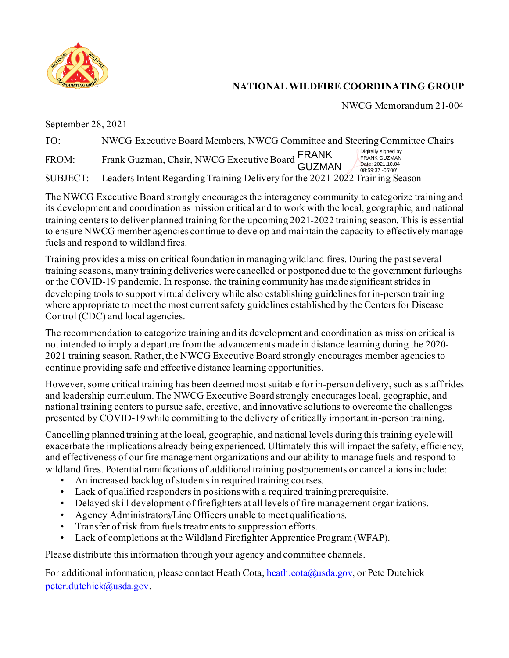

## **NATIONAL WILDFIRE COORDINATING GROUP**

NWCG Memorandum 21-004

September 28, 2021

| TO:   | NWCG Executive Board Members, NWCG Committee and Steering Committee Chairs            |                                                                                    |
|-------|---------------------------------------------------------------------------------------|------------------------------------------------------------------------------------|
| FROM: | Frank Guzman, Chair, NWCG Executive Board FRANK<br>GUZMAN                             | Digitally signed by<br><b>FRANK GUZMAN</b><br>Date: 2021.10.04<br>08:59:37 -06'00' |
|       | SUBJECT: Leaders Intent Regarding Training Delivery for the 2021-2022 Training Season |                                                                                    |

 to ensure NWCG member agencies continue to develop and maintain the capacity to effectively manage The NWCG Executive Board strongly encourages the interagency community to categorize training and its development and coordination as mission critical and to work with the local, geographic, and national training centers to deliver planned training for the upcoming 2021-2022 training season. This is essential fuels and respond to wildland fires.

Training provides a mission critical foundation in managing wildland fires. During the past several training seasons, many training deliveries were cancelled or postponed due to the government furloughs or the COVID-19 pandemic. In response, the training community has made significant strides in developing tools to support virtual delivery while also establishing guidelines for in-person training where appropriate to meet the most current safety guidelines established by the Centers for Disease Control (CDC) and local agencies.

The recommendation to categorize training and its development and coordination as mission critical is not intended to imply a departure from the advancements made in distance learning during the 2020- 2021 training season. Rather, the NWCG Executive Board strongly encourages member agencies to continue providing safe and effective distance learning opportunities.

However, some critical training has been deemed most suitable for in-person delivery, such as staff rides and leadership curriculum. The NWCG Executive Board strongly encourages local, geographic, and national training centers to pursue safe, creative, and innovative solutions to overcome the challenges presented by COVID-19 while committing to the delivery of critically important in-person training.

 wildland fires. Potential ramifications of additional training postponements or cancellations include: Cancelling planned training at the local, geographic, and national levels during this training cycle will exacerbate the implications already being experienced. Ultimately this will impact the safety, efficiency, and effectiveness of our fire management organizations and our ability to manage fuels and respond to

- An increased backlog of students in required training courses.
- Lack of qualified responders in positions with a required training prerequisite.
- Delayed skill development of firefighters at all levels of fire management organizations.
- Agency Administrators/Line Officers unable to meet qualifications.
- Transfer of risk from fuels treatments to suppression efforts.
- Lack of completions at the Wildland Firefighter Apprentice Program (WFAP).

Please distribute this information through your agency and committee channels.

For additional information, please contact Heath Cota[, heath.cota@usda.gov](mailto:heath.cota@usda.gov), or Pete Dutchick [peter.dutchick@usda.gov](mailto:peter.dutchick@usda.gov).